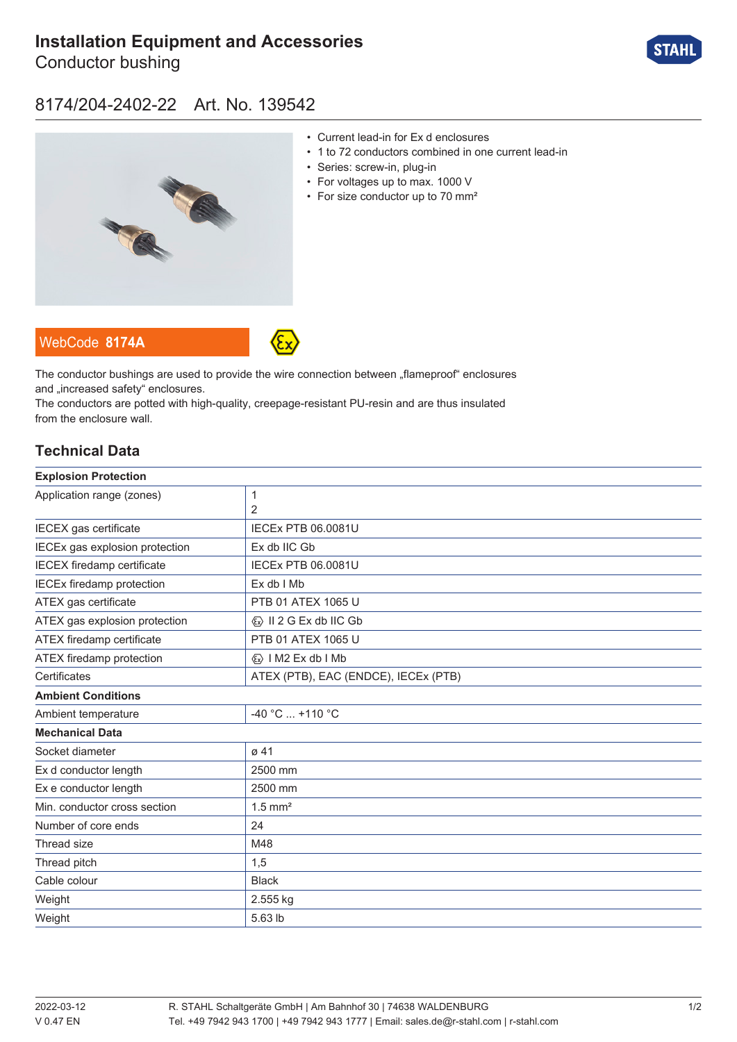# **[Installation Equipment and Accessories](https://r-stahl.com/en/global/products/materialid/139542)**

Conductor bushing



## 8174/204-2402-22 Art. No. 139542



- Current lead-in for Ex d enclosures
- 1 to 72 conductors combined in one current lead-in
- Series: screw-in, plug-in
- For voltages up to max. 1000 V
- For size conductor up to 70 mm²





The conductor bushings are used to provide the wire connection between "flameproof" enclosures and ..increased safety" enclosures.

The conductors are potted with high-quality, creepage-resistant PU-resin and are thus insulated from the enclosure wall.

### **Technical Data**

| 1                                       |
|-----------------------------------------|
| 2                                       |
| <b>IECEx PTB 06.0081U</b>               |
| Ex db IIC Gb                            |
| <b>IECEx PTB 06.0081U</b>               |
| Ex db I Mb                              |
| PTB 01 ATEX 1065 U                      |
| $\langle x \rangle$ II 2 G Ex db IIC Gb |
| PTB 01 ATEX 1065 U                      |
| <b>«</b> » I M2 Ex db I Mb              |
| ATEX (PTB), EAC (ENDCE), IECEx (PTB)    |
|                                         |
| -40 °C  +110 °C                         |
|                                         |
| $\varnothing$ 41                        |
| 2500 mm                                 |
| 2500 mm                                 |
| $1.5$ mm <sup>2</sup>                   |
| 24                                      |
| M48                                     |
| 1,5                                     |
| <b>Black</b>                            |
| 2.555 kg                                |
| 5.63 lb                                 |
|                                         |